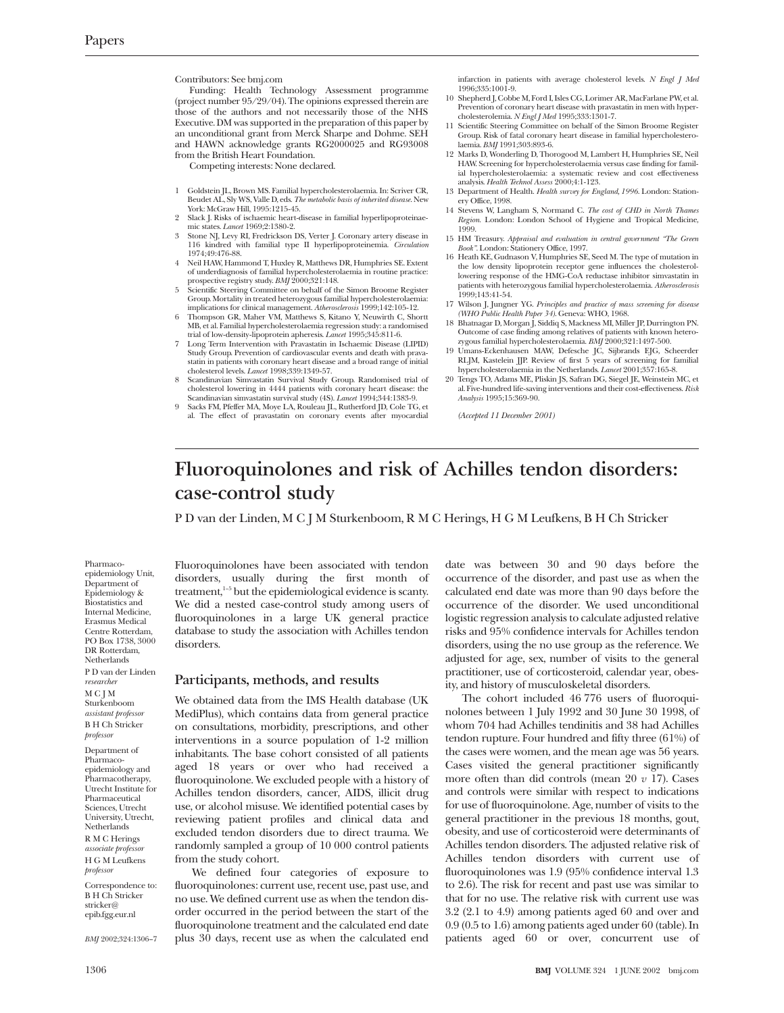Contributors: See bmj.com

Funding: Health Technology Assessment programme (project number 95/29/04). The opinions expressed therein are those of the authors and not necessarily those of the NHS Executive. DM was supported in the preparation of this paper by an unconditional grant from Merck Sharpe and Dohme. SEH and HAWN acknowledge grants RG2000025 and RG93008 from the British Heart Foundation.

Competing interests: None declared.

- 1 Goldstein JL, Brown MS. Familial hypercholesterolaemia. In: Scriver CR, Beudet AL, Sly WS, Valle D, eds. *The metabolic basis of inherited disease*. New York: McGraw Hill, 1995:1215-45.
- 2 Slack J. Risks of ischaemic heart-disease in familial hyperlipoproteinae-mic states. *Lancet* 1969;2:1380-2.
- 3 Stone NJ, Levy RI, Fredrickson DS, Verter J. Coronary artery disease in 116 kindred with familial type II hyperlipoproteinemia. *Circulation* 1974;49:476-88.
- Neil HAW, Hammond T, Huxley R, Matthews DR, Humphries SE. Extent of underdiagnosis of familial hypercholesterolaemia in routine practice: prospective registry study. *BMJ* 2000;321:148.
- 5 Scientific Steering Committee on behalf of the Simon Broome Register Group. Mortality in treated heterozygous familial hypercholesterolaemia: implications for clinical management. *Atherosclerosis* 1999;142:105-12.
- Thompson GR, Maher VM, Matthews S, Kitano Y, Neuwirth C, Shortt MB, et al. Familial hypercholesterolaemia regression study: a randomised trial of low-density-lipoprotein apheresis. *Lancet* 1995;345:811-6.
- Long Term Intervention with Pravastatin in Ischaemic Disease (LIPID) Study Group. Prevention of cardiovascular events and death with prava-statin in patients with coronary heart disease and a broad range of initial cholesterol levels. *Lancet* 1998;339:1349-57.
- 8 Scandinavian Simvastatin Survival Study Group. Randomised trial of cholesterol lowering in 4444 patients with coronary heart disease: the Scandinavian simvastatin survival study (4S). *Lancet* 1994;344:1383-9.
- 9 Sacks FM, Pfeffer MA, Moye LA, Rouleau JL, Rutherford JD, Cole TG, et al. The effect of pravastatin on coronary events after myocardial

infarction in patients with average cholesterol levels. *N Engl J Med* 1996;335:1001-9.

- 10 Shepherd J, Cobbe M, Ford I, Isles CG, Lorimer AR, MacFarlane PW, et al. Prevention of coronary heart disease with pravastatin in men with hypercholesterolemia. *N Engl J Med* 1995;333:1301-7.
- 11 Scientific Steering Committee on behalf of the Simon Broome Register Group. Risk of fatal coronary heart disease in familial hypercholesterolaemia. *BMJ* 1991;303:893-6.
- 12 Marks D, Wonderling D, Thorogood M, Lambert H, Humphries SE, Neil HAW. Screening for hypercholesterolaemia versus case finding for familial hypercholesterolaemia: a systematic review and cost effectiveness analysis. *Health Technol Assess* 2000;4:1-123.
- 13 Department of Health. *Health survey for England, 1996*. London: Stationery Office, 1998.
- 14 Stevens W, Langham S, Normand C. *The cost of CHD in North Thames Region.* London: London School of Hygiene and Tropical Medicine,
- 1999. 15 HM Treasury. *Appraisal and evaluation in central government "The Green Book"*. London: Stationery Office, 1997.
- 16 Heath KE, Gudnason V, Humphries SE, Seed M. The type of mutation in the low density lipoprotein receptor gene influences the cholesterollowering response of the HMG-CoA reductase inhibitor simvastatin in patients with heterozygous familial hypercholesterolaemia. *Atherosclerosis* 1999;143:41-54.
- 17 Wilson J, Jungner YG. *Principles and practice of mass screening for disease (WHO Public Health Paper 34)*. Geneva: WHO, 1968.
- 18 Bhatnagar D, Morgan J, Siddiq S, Mackness MI, Miller JP, Durrington PN. Outcome of case finding among relatives of patients with known hetero-zygous familial hypercholesterolaemia. *BMJ* 2000;321:1497-500.
- 19 Umans-Eckenhausen MAW, Defesche JC, Sijbrands EJG, Scheerder RLJM, Kastelein JJP. Review of first 5 years of screening for familial hypercholesterolaemia in the Netherlands. *Lancet* 2001;357:165-8.
- 20 Tengs TO, Adams ME, Pliskin JS, Safran DG, Siegel JE, Weinstein MC, et al. Five-hundred life-saving interventions and their cost-effectiveness. *Risk Analysis* 1995;15:369-90.

*(Accepted 11 December 2001)*

## **Fluoroquinolones and risk of Achilles tendon disorders: case-control study**

P D van der Linden, M C J M Sturkenboom, R M C Herings, H G M Leufkens, B H Ch Stricker

Pharmacoepidemiology Unit, Department of Epidemiology & Biostatistics and Internal Medicine, Erasmus Medical Centre Rotterdam, PO Box 1738, 3000 DR Rotterdam, Netherlands P D van der Linden *researcher* MCJM Sturkenboom *assistant professor* B H Ch Stricker *professor* Department of

Pharmacoepidemiology and Pharmacotherapy, Utrecht Institute for Pharmaceutical Sciences, Utrecht University, Utrecht, **Netherlands** R M C Herings *associate professor* H G M Leufkens *professor* Correspondence to: B H Ch Stricker

stricker@ epib.fgg.eur.nl

*BMJ* 2002;324:1306–7

Fluoroquinolones have been associated with tendon disorders, usually during the first month of treatment,<sup>1-5</sup> but the epidemiological evidence is scanty. We did a nested case-control study among users of fluoroquinolones in a large UK general practice database to study the association with Achilles tendon disorders.

## **Participants, methods, and results**

We obtained data from the IMS Health database (UK MediPlus), which contains data from general practice on consultations, morbidity, prescriptions, and other interventions in a source population of 1-2 million inhabitants. The base cohort consisted of all patients aged 18 years or over who had received a fluoroquinolone. We excluded people with a history of Achilles tendon disorders, cancer, AIDS, illicit drug use, or alcohol misuse. We identified potential cases by reviewing patient profiles and clinical data and excluded tendon disorders due to direct trauma. We randomly sampled a group of 10 000 control patients from the study cohort.

We defined four categories of exposure to fluoroquinolones: current use, recent use, past use, and no use. We defined current use as when the tendon disorder occurred in the period between the start of the fluoroquinolone treatment and the calculated end date plus 30 days, recent use as when the calculated end

date was between 30 and 90 days before the occurrence of the disorder, and past use as when the calculated end date was more than 90 days before the occurrence of the disorder. We used unconditional logistic regression analysis to calculate adjusted relative risks and 95% confidence intervals for Achilles tendon disorders, using the no use group as the reference. We adjusted for age, sex, number of visits to the general practitioner, use of corticosteroid, calendar year, obesity, and history of musculoskeletal disorders.

The cohort included 46 776 users of fluoroquinolones between 1 July 1992 and 30 June 30 1998, of whom 704 had Achilles tendinitis and 38 had Achilles tendon rupture. Four hundred and fifty three (61%) of the cases were women, and the mean age was 56 years. Cases visited the general practitioner significantly more often than did controls (mean 20 *v* 17). Cases and controls were similar with respect to indications for use of fluoroquinolone. Age, number of visits to the general practitioner in the previous 18 months, gout, obesity, and use of corticosteroid were determinants of Achilles tendon disorders. The adjusted relative risk of Achilles tendon disorders with current use of fluoroquinolones was 1.9 (95% confidence interval 1.3 to 2.6). The risk for recent and past use was similar to that for no use. The relative risk with current use was 3.2 (2.1 to 4.9) among patients aged 60 and over and 0.9 (0.5 to 1.6) among patients aged under 60 (table). In patients aged 60 or over, concurrent use of